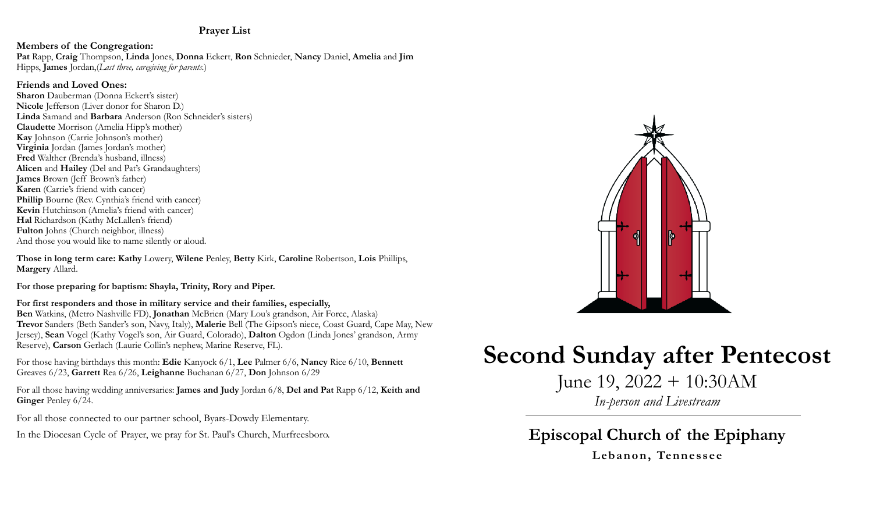#### **Prayer List**

**Members of the Congregation: Pat** Rapp, **Craig** Thompson, **Linda** Jones, **Donna** Eckert, **Ron** Schnieder, **Nancy** Daniel, **Amelia** and **Jim** Hipps, **James** Jordan,(*Last three, caregiving for parents.*)

#### **Friends and Loved Ones:**

**Sharon** Dauberman (Donna Eckert's sister) **Nicole** Jefferson (Liver donor for Sharon D.) **Linda** Samand and **Barbara** Anderson (Ron Schneider's sisters) **Claudette** Morrison (Amelia Hipp's mother) **Kay** Johnson (Carrie Johnson's mother) **Virginia** Jordan (James Jordan's mother) **Fred** Walther (Brenda's husband, illness) **Alicen** and **Hailey** (Del and Pat's Grandaughters) **James** Brown (Jeff Brown's father) **Karen** (Carrie's friend with cancer) **Phillip** Bourne (Rev. Cynthia's friend with cancer) **Kevin** Hutchinson (Amelia's friend with cancer) **Hal** Richardson (Kathy McLallen's friend) **Fulton** Johns (Church neighbor, illness) And those you would like to name silently or aloud.

**Those in long term care: Kathy** Lowery, **Wilene** Penley, **Betty** Kirk, **Caroline** Robertson, **Lois** Phillips, **Margery** Allard.

**For those preparing for baptism: Shayla, Trinity, Rory and Piper.**

**For first responders and those in military service and their families, especially, Ben** Watkins, (Metro Nashville FD), **Jonathan** McBrien (Mary Lou's grandson, Air Force, Alaska) **Trevor** Sanders (Beth Sander's son, Navy, Italy), **Malerie** Bell (The Gipson's niece, Coast Guard, Cape May, New Jersey), **Sean** Vogel (Kathy Vogel's son, Air Guard, Colorado), **Dalton** Ogdon (Linda Jones' grandson, Army Reserve), **Carson** Gerlach (Laurie Collin's nephew, Marine Reserve, FL).

For those having birthdays this month: **Edie** Kanyock 6/1, **Lee** Palmer 6/6, **Nancy** Rice 6/10, **Bennett** Greaves 6/23, **Garrett** Rea 6/26, **Leighanne** Buchanan 6/27, **Don** Johnson 6/29

For all those having wedding anniversaries: **James and Judy** Jordan 6/8, **Del and Pat** Rapp 6/12, **Keith and**  Ginger Penley 6/24.

For all those connected to our partner school, Byars-Dowdy Elementary.

In the Diocesan Cycle of Prayer, we pray for St. Paul's Church, Murfreesboro.



# **Second Sunday after Pentecost** June 19, 2022 + 10:30AM

*In-person and Livestream*

**Episcopal Church of the Epiphany Lebanon, Tennessee**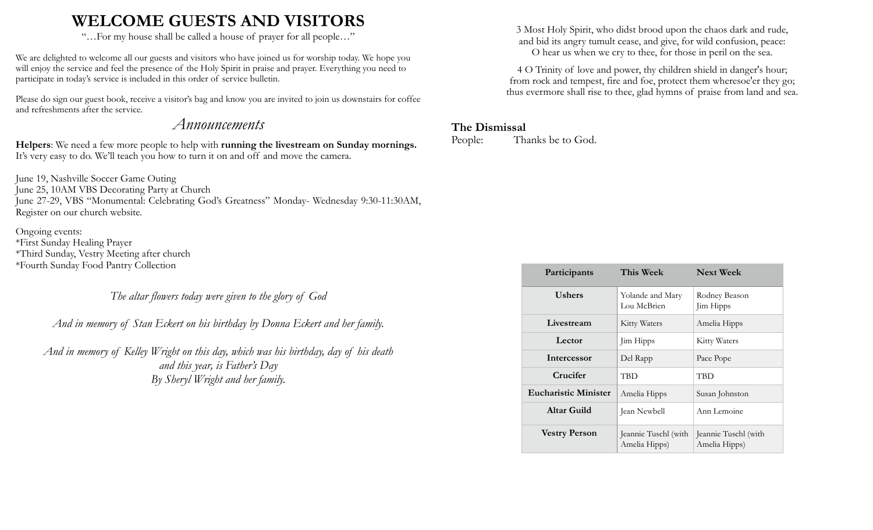## **WELCOME GUESTS AND VISITORS**

"…For my house shall be called a house of prayer for all people…"

We are delighted to welcome all our guests and visitors who have joined us for worship today. We hope you will enjoy the service and feel the presence of the Holy Spirit in praise and prayer. Everything you need to participate in today's service is included in this order of service bulletin.

Please do sign our guest book, receive a visitor's bag and know you are invited to join us downstairs for coffee and refreshments after the service.

### *Announcements*

**Helpers**: We need a few more people to help with **running the livestream on Sunday mornings.** It's very easy to do. We'll teach you how to turn it on and off and move the camera.

June 19, Nashville Soccer Game Outing June 25, 10AM VBS Decorating Party at Church June 27-29, VBS "Monumental: Celebrating God's Greatness" Monday- Wednesday 9:30-11:30AM, Register on our church website.

Ongoing events: \*First Sunday Healing Prayer \*Third Sunday, Vestry Meeting after church \*Fourth Sunday Food Pantry Collection

*The altar flowers today were given to the glory of God* 

*And in memory of Stan Eckert on his birthday by Donna Eckert and her family.*

*And in memory of Kelley Wright on this day, which was his birthday, day of his death and this year, is Father's Day By Sheryl Wright and her family.*

3 Most Holy Spirit, who didst brood upon the chaos dark and rude, and bid its angry tumult cease, and give, for wild confusion, peace: O hear us when we cry to thee, for those in peril on the sea.

4 O Trinity of love and power, thy children shield in danger's hour; from rock and tempest, fire and foe, protect them wheresoe'er they go; thus evermore shall rise to thee, glad hymns of praise from land and sea.

### **The Dismissal**

People: Thanks be to God.

| Participants                | This Week                             | <b>Next Week</b>                      |
|-----------------------------|---------------------------------------|---------------------------------------|
| Ushers                      | Yolande and Mary<br>Lou McBrien       | Rodney Beason<br>Jim Hipps            |
| Livestream                  | <b>Kitty Waters</b>                   | Amelia Hipps                          |
| Lector                      | Jim Hipps                             | <b>Kitty Waters</b>                   |
| Intercessor                 | Del Rapp                              | Pace Pope                             |
| Crucifer                    | TBD                                   | TBD                                   |
| <b>Eucharistic Minister</b> | Amelia Hipps                          | Susan Johnston                        |
| <b>Altar Guild</b>          | Jean Newbell                          | Ann Lemoine                           |
| <b>Vestry Person</b>        | Jeannie Tuschl (with<br>Amelia Hipps) | Jeannie Tuschl (with<br>Amelia Hipps) |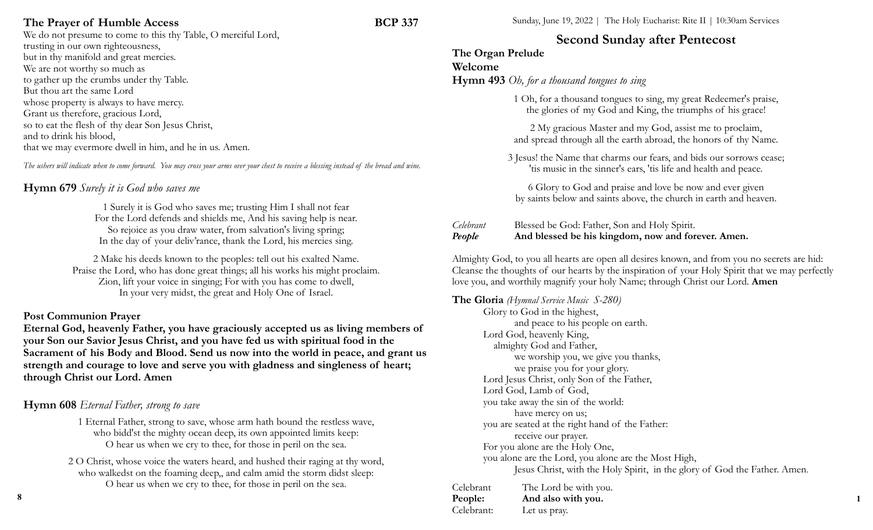#### The Prayer of Humble Access BCP 337

We do not presume to come to this thy Table, O merciful Lord, trusting in our own righteousness, but in thy manifold and great mercies. We are not worthy so much as to gather up the crumbs under thy Table. But thou art the same Lord whose property is always to have mercy. Grant us therefore, gracious Lord, so to eat the flesh of thy dear Son Jesus Christ, and to drink his blood, that we may evermore dwell in him, and he in us. Amen.

*The ushers will indicate when to come forward. You may cross your arms over your chest to receive a blessing instead of the bread and wine.*

#### **Hymn 679** *Surely it is God who saves me*

1 Surely it is God who saves me; trusting Him I shall not fear For the Lord defends and shields me, And his saving help is near. So rejoice as you draw water, from salvation's living spring; In the day of your deliv'rance, thank the Lord, his mercies sing.

2 Make his deeds known to the peoples: tell out his exalted Name. Praise the Lord, who has done great things; all his works his might proclaim. Zion, lift your voice in singing; For with you has come to dwell, In your very midst, the great and Holy One of Israel.

#### **Post Communion Prayer**

**Eternal God, heavenly Father, you have graciously accepted us as living members of your Son our Savior Jesus Christ, and you have fed us with spiritual food in the Sacrament of his Body and Blood. Send us now into the world in peace, and grant us strength and courage to love and serve you with gladness and singleness of heart; through Christ our Lord. Amen**

#### **Hymn 608** *Eternal Father, strong to save*

1 Eternal Father, strong to save, whose arm hath bound the restless wave, who bidd'st the mighty ocean deep, its own appointed limits keep: O hear us when we cry to thee, for those in peril on the sea.

2 O Christ, whose voice the waters heard, and hushed their raging at thy word, who walkedst on the foaming deep,, and calm amid the storm didst sleep: O hear us when we cry to thee, for those in peril on the sea.

### **Second Sunday after Pentecost**

#### **The Organ Prelude**

#### **Welcome**

**Hymn 493** *Oh, for a thousand tongues to sing*

1 Oh, for a thousand tongues to sing, my great Redeemer's praise, the glories of my God and King, the triumphs of his grace!

2 My gracious Master and my God, assist me to proclaim, and spread through all the earth abroad, the honors of thy Name.

3 Jesus! the Name that charms our fears, and bids our sorrows cease; 'tis music in the sinner's ears, 'tis life and health and peace.

6 Glory to God and praise and love be now and ever given by saints below and saints above, the church in earth and heaven.

#### *Celebrant* Blessed be God: Father, Son and Holy Spirit. *People* **And blessed be his kingdom, now and forever. Amen.**

Almighty God, to you all hearts are open all desires known, and from you no secrets are hid: Cleanse the thoughts of our hearts by the inspiration of your Holy Spirit that we may perfectly love you, and worthily magnify your holy Name; through Christ our Lord. **Amen**

**The Gloria** *(Hymnal Service Music S-280)* Glory to God in the highest, and peace to his people on earth. Lord God, heavenly King, almighty God and Father, we worship you, we give you thanks, we praise you for your glory. Lord Jesus Christ, only Son of the Father, Lord God, Lamb of God, you take away the sin of the world: have mercy on us; you are seated at the right hand of the Father: receive our prayer. For you alone are the Holy One, you alone are the Lord, you alone are the Most High, Jesus Christ, with the Holy Spirit, in the glory of God the Father. Amen.

Celebrant The Lord be with you. **People: And also with you.** Celebrant: Let us pray. **8 1**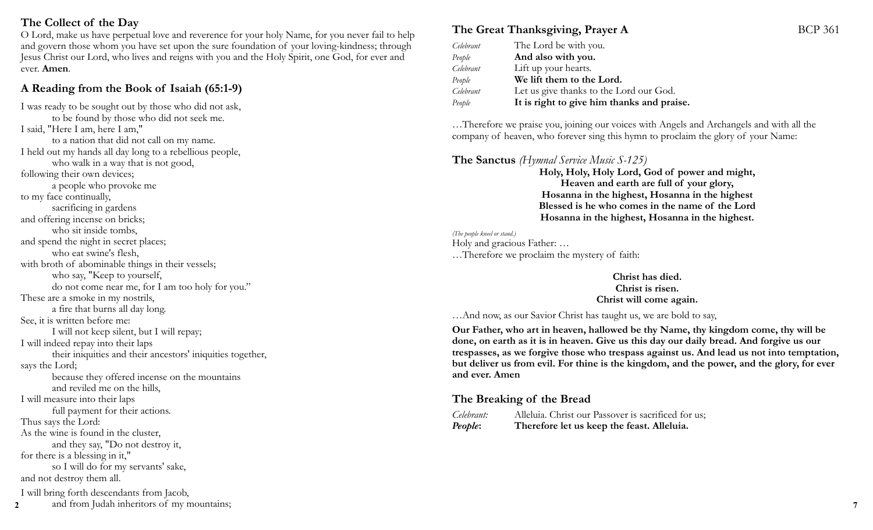### **The Collect of the Day**

O Lord, make us have perpetual love and reverence for your holy Name, for you never fail to help and govern those whom you have set upon the sure foundation of your loving-kindness; through Jesus Christ our Lord, who lives and reigns with you and the Holy Spirit, one God, for ever and ever. **Amen**.

### **A Reading from the Book of Isaiah (65:1-9)**

I was ready to be sought out by those who did not ask, to be found by those who did not seek me. I said, "Here I am, here I am," to a nation that did not call on my name. I held out my hands all day long to a rebellious people, who walk in a way that is not good, following their own devices; a people who provoke me to my face continually, sacrificing in gardens and offering incense on bricks; who sit inside tombs, and spend the night in secret places; who eat swine's flesh, with broth of abominable things in their vessels; who say, "Keep to yourself, do not come near me, for I am too holy for you." These are a smoke in my nostrils, a fire that burns all day long. See, it is written before me: I will not keep silent, but I will repay; I will indeed repay into their laps their iniquities and their ancestors' iniquities together, says the Lord; because they offered incense on the mountains and reviled me on the hills, I will measure into their laps full payment for their actions. Thus says the Lord: As the wine is found in the cluster, and they say, "Do not destroy it, for there is a blessing in it," so I will do for my servants' sake, and not destroy them all. I will bring forth descendants from Jacob,

and from Judah inheritors of my mountains; **2 7**

### The Great Thanksgiving, Prayer A **BCP 361**

| Celebrant | The Lord be with you.                      |
|-----------|--------------------------------------------|
| People    | And also with you.                         |
| Celebrant | Lift up your hearts.                       |
| People    | We lift them to the Lord.                  |
| Celebrant | Let us give thanks to the Lord our God.    |
| People    | It is right to give him thanks and praise. |

…Therefore we praise you, joining our voices with Angels and Archangels and with all the company of heaven, who forever sing this hymn to proclaim the glory of your Name:

#### **The Sanctus** *(Hymnal Service Music S-125)*

**Holy, Holy, Holy Lord, God of power and might, Heaven and earth are full of your glory, Hosanna in the highest, Hosanna in the highest Blessed is he who comes in the name of the Lord Hosanna in the highest, Hosanna in the highest.**

*(The people kneel or stand.)* Holy and gracious Father: … …Therefore we proclaim the mystery of faith:

#### **Christ has died. Christ is risen. Christ will come again.**

…And now, as our Savior Christ has taught us, we are bold to say,

**Our Father, who art in heaven, hallowed be thy Name, thy kingdom come, thy will be done, on earth as it is in heaven. Give us this day our daily bread. And forgive us our trespasses, as we forgive those who trespass against us. And lead us not into temptation, but deliver us from evil. For thine is the kingdom, and the power, and the glory, for ever and ever. Amen**

#### **The Breaking of the Bread**

*Celebrant:* Alleluia. Christ our Passover is sacrificed for us; *People***: Therefore let us keep the feast. Alleluia.**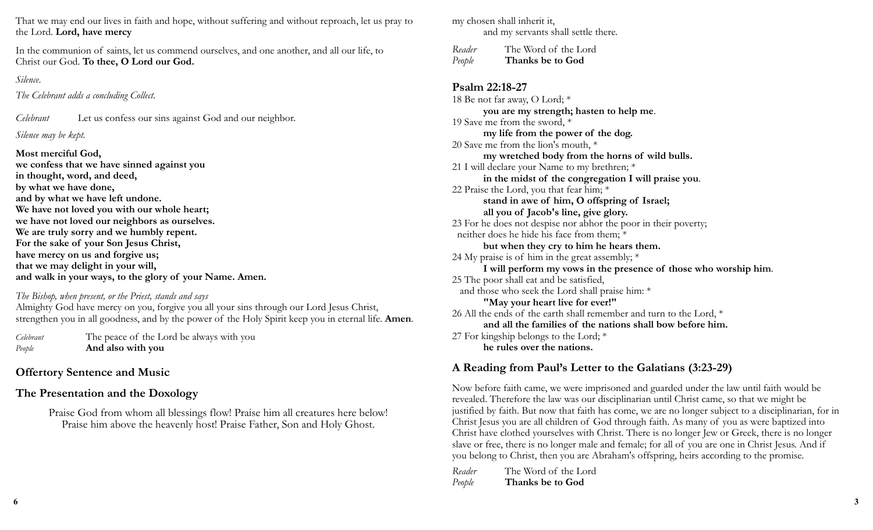That we may end our lives in faith and hope, without suffering and without reproach, let us pray to the Lord. **Lord, have mercy**

In the communion of saints, let us commend ourselves, and one another, and all our life, to Christ our God. **To thee, O Lord our God.**

*Silence*.

*The Celebrant adds a concluding Collect.*

*Celebrant* Let us confess our sins against God and our neighbor.

*Silence may be kept.*

#### **Most merciful God,**

**we confess that we have sinned against you in thought, word, and deed, by what we have done, and by what we have left undone. We have not loved you with our whole heart; we have not loved our neighbors as ourselves. We are truly sorry and we humbly repent. For the sake of your Son Jesus Christ, have mercy on us and forgive us; that we may delight in your will, and walk in your ways, to the glory of your Name. Amen.**

*The Bishop, when present, or the Priest, stands and says*

Almighty God have mercy on you, forgive you all your sins through our Lord Jesus Christ, strengthen you in all goodness, and by the power of the Holy Spirit keep you in eternal life. **Amen**.

*Celebrant* The peace of the Lord be always with you *People* **And also with you**

### **Offertory Sentence and Music**

### **The Presentation and the Doxology**

Praise God from whom all blessings flow! Praise him all creatures here below! Praise him above the heavenly host! Praise Father, Son and Holy Ghost.

my chosen shall inherit it, and my servants shall settle there.

*Reader* The Word of the Lord *People* **Thanks be to God**

#### **Psalm 22:18-27**

18 Be not far away, O Lord; \* **you are my strength; hasten to help me**. 19 Save me from the sword, \* **my life from the power of the dog.** 20 Save me from the lion's mouth, \* **my wretched body from the horns of wild bulls.** 21 I will declare your Name to my brethren; \* **in the midst of the congregation I will praise you**. 22 Praise the Lord, you that fear him; \* **stand in awe of him, O offspring of Israel; all you of Jacob's line, give glory.** 23 For he does not despise nor abhor the poor in their poverty; neither does he hide his face from them; \* **but when they cry to him he hears them.** 24 My praise is of him in the great assembly; \* **I will perform my vows in the presence of those who worship him**. 25 The poor shall eat and be satisfied, and those who seek the Lord shall praise him: \* **"May your heart live for ever!"** 26 All the ends of the earth shall remember and turn to the Lord, \* **and all the families of the nations shall bow before him.** 27 For kingship belongs to the Lord; \* **he rules over the nations.**

### **A Reading from Paul's Letter to the Galatians (3:23-29)**

Now before faith came, we were imprisoned and guarded under the law until faith would be revealed. Therefore the law was our disciplinarian until Christ came, so that we might be justified by faith. But now that faith has come, we are no longer subject to a disciplinarian, for in Christ Jesus you are all children of God through faith. As many of you as were baptized into Christ have clothed yourselves with Christ. There is no longer Jew or Greek, there is no longer slave or free, there is no longer male and female; for all of you are one in Christ Jesus. And if you belong to Christ, then you are Abraham's offspring, heirs according to the promise.

*Reader* The Word of the Lord *People* **Thanks be to God**